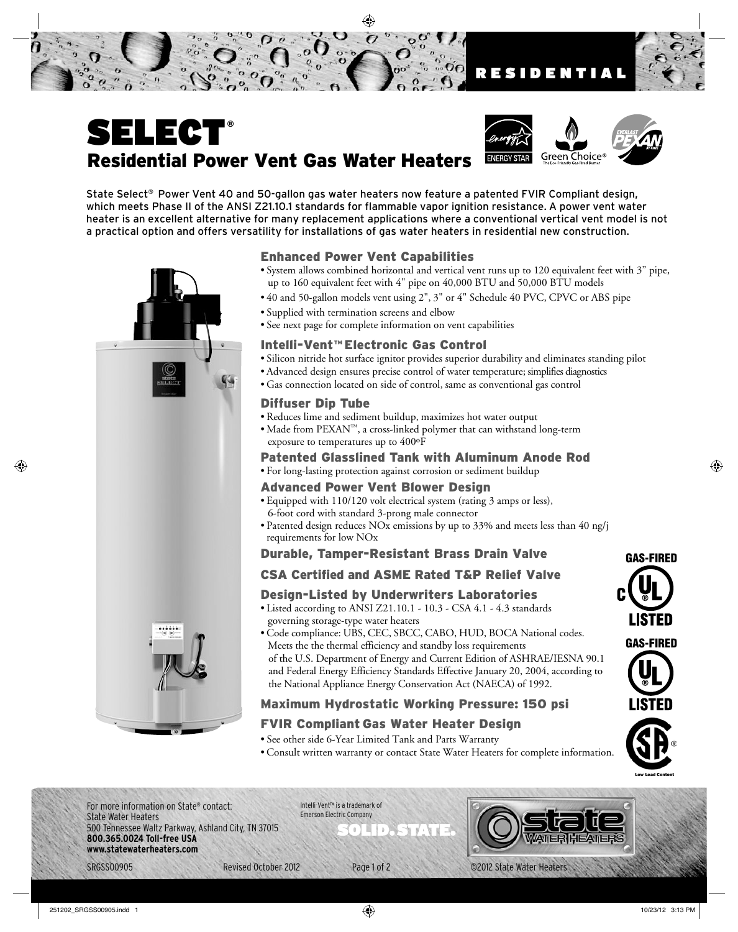



State Select® Power Vent 40 and 50-gallon gas water heaters now feature a patented FVIR Compliant design, which meets Phase II of the ANSI Z21.10.1 standards for flammable vapor ignition resistance. A power vent water heater is an excellent alternative for many replacement applications where a conventional vertical vent model is not a practical option and offers versatility for installations of gas water heaters in residential new construction.



• System allows combined horizontal and vertical vent runs up to 120 equivalent feet with 3" pipe, up to 160 equivalent feet with 4" pipe on 40,000 BTU and 50,000 BTU models

 $\overline{0}$ 

- 40 and 50-gallon models vent using 2", 3" or 4" Schedule 40 PVC, CPVC or ABS pipe
- Supplied with termination screens and elbow
- See next page for complete information on vent capabilities

#### Intelli-Vent™ Electronic Gas Control

- Silicon nitride hot surface ignitor provides superior durability and eliminates standing pilot
- Advanced design ensures precise control of water temperature; simplifies diagnostics
- Gas connection located on side of control, same as conventional gas control

### Diffuser Dip Tube

- Reduces lime and sediment buildup, maximizes hot water output
- Made from PEXAN™, a cross-linked polymer that can withstand long-term exposure to temperatures up to 400ºF

### Patented Glasslined Tank with Aluminum Anode Rod

• For long-lasting protection against corrosion or sediment buildup

#### Advanced Power Vent Blower Design

- Equipped with 110/120 volt electrical system (rating 3 amps or less), 6-foot cord with standard 3-prong male connector
- Patented design reduces NOx emissions by up to 33% and meets less than 40 ng/j requirements for low NOx

### Durable, Tamper-Resistant Brass Drain Valve

### CSA Certified and ASME Rated T&P Relief Valve

### Design-Listed by Underwriters Laboratories

- Listed according to ANSI Z21.10.1 10.3 CSA 4.1 4.3 standards governing storage-type water heaters
- Code compliance: UBS, CEC, SBCC, CABO, HUD, BOCA National codes. Meets the the thermal efficiency and standby loss requirements of the U.S. Department of Energy and Current Edition of ASHRAE/IESNA 90.1 and Federal Energy Efficiency Standards Effective January 20, 2004, according to the National Appliance Energy Conservation Act (NAECA) of 1992.

# Maximum Hydrostatic Working Pressure: 150 psi

# FVIR Compliant Gas Water Heater Design

- See other side 6-Year Limited Tank and Parts Warranty
- Consult written warranty or contact State Water Heaters for complete information.





For more information on State® contact: State Water Heaters 500 Tennessee Waltz Parkway, Ashland City, TN 37015<br>**800.365.0024 Toll-free USA** www.statewaterheaters.com **www.statewaterheaters.com**

Intelli-Vent™ is a trademark of Emerson Electric Company

SRGSS00905 Revised October 2012 Page 1 of 2 ©2012 State Water Heaters